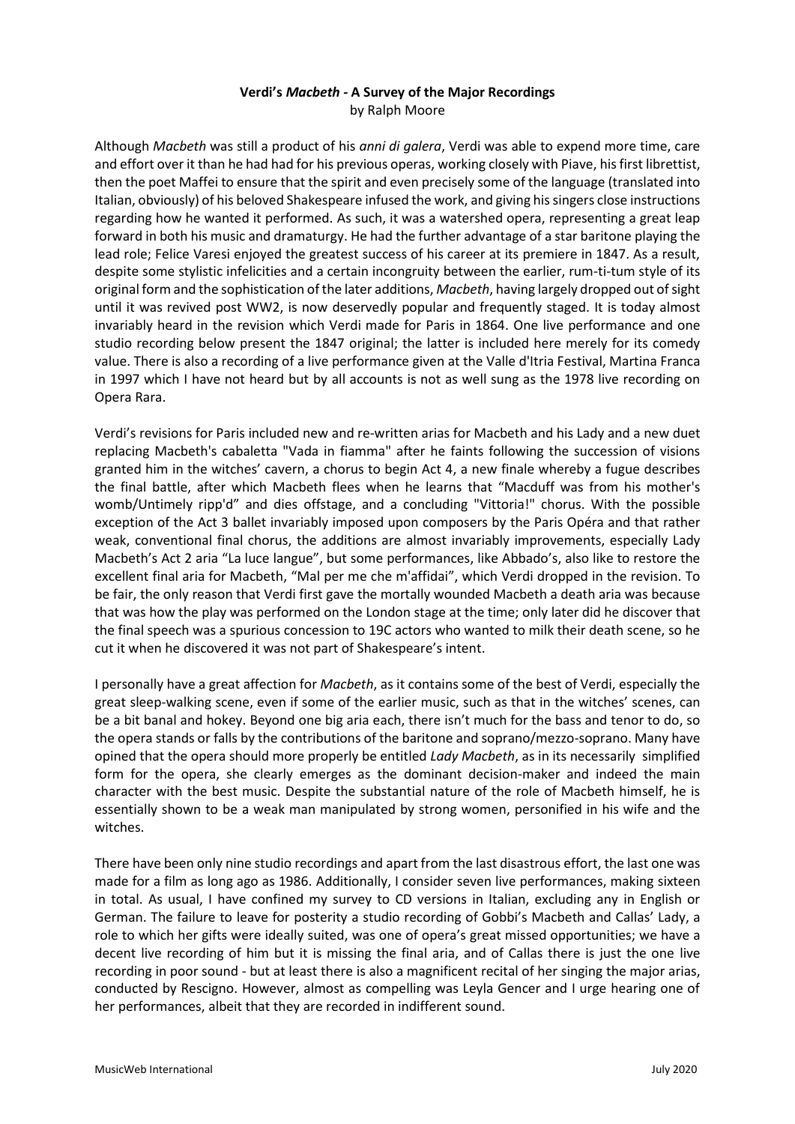# **Verdi's** *Macbeth -* **A Survey of the Major Recordings** by Ralph Moore

Although *Macbeth* was still a product of his *anni di galera*, Verdi was able to expend more time, care and effort over it than he had had for his previous operas, working closely with Piave, his first librettist, then the poet Maffei to ensure that the spirit and even precisely some of the language (translated into Italian, obviously) of his beloved Shakespeare infused the work, and giving his singers close instructions regarding how he wanted it performed. As such, it was a watershed opera, representing a great leap forward in both his music and dramaturgy. He had the further advantage of a star baritone playing the lead role; Felice Varesi enjoyed the greatest success of his career at its premiere in 1847. As a result, despite some stylistic infelicities and a certain incongruity between the earlier, rum-ti-tum style of its original form and the sophistication of the later additions, *Macbeth*, having largely dropped out of sight until it was revived post WW2, is now deservedly popular and frequently staged. It is today almost invariably heard in the revision which Verdi made for Paris in 1864. One live performance and one studio recording below present the 1847 original; the latter is included here merely for its comedy value. There is also a recording of a live performance given at the Valle d'Itria Festival, Martina Franca in 1997 which I have not heard but by all accounts is not as well sung as the 1978 live recording on Opera Rara.

Verdi's revisions for Paris included new and re-written arias for Macbeth and his Lady and a new duet replacing Macbeth's cabaletta "Vada in fiamma" after he faints following the succession of visions granted him in the witches' cavern, a chorus to begin Act 4, a new finale whereby a fugue describes the final battle, after which Macbeth flees when he learns that "Macduff was from his mother's womb/Untimely ripp'd" and dies offstage, and a concluding "Vittoria!" chorus. With the possible exception of the Act 3 ballet invariably imposed upon composers by the Paris Opéra and that rather weak, conventional final chorus, the additions are almost invariably improvements, especially Lady Macbeth's Act 2 aria "La luce langue", but some performances, like Abbado's, also like to restore the excellent final aria for Macbeth, "Mal per me che m'affidai", which Verdi dropped in the revision. To be fair, the only reason that Verdi first gave the mortally wounded Macbeth a death aria was because that was how the play was performed on the London stage at the time; only later did he discover that the final speech was a spurious concession to 19C actors who wanted to milk their death scene, so he cut it when he discovered it was not part of Shakespeare's intent.

I personally have a great affection for *Macbeth*, as it contains some of the best of Verdi, especially the great sleep-walking scene, even if some of the earlier music, such as that in the witches' scenes, can be a bit banal and hokey. Beyond one big aria each, there isn't much for the bass and tenor to do, so the opera stands or falls by the contributions of the baritone and soprano/mezzo-soprano. Many have opined that the opera should more properly be entitled *Lady Macbeth*, as in its necessarily simplified form for the opera, she clearly emerges as the dominant decision-maker and indeed the main character with the best music. Despite the substantial nature of the role of Macbeth himself, he is essentially shown to be a weak man manipulated by strong women, personified in his wife and the witches.

There have been only nine studio recordings and apart from the last disastrous effort, the last one was made for a film as long ago as 1986. Additionally, I consider seven live performances, making sixteen in total. As usual, I have confined my survey to CD versions in Italian, excluding any in English or German. The failure to leave for posterity a studio recording of Gobbi's Macbeth and Callas' Lady, a role to which her gifts were ideally suited, was one of opera's great missed opportunities; we have a decent live recording of him but it is missing the final aria, and of Callas there is just the one live recording in poor sound - but at least there is also a magnificent recital of her singing the major arias, conducted by Rescigno. However, almost as compelling was Leyla Gencer and I urge hearing one of her performances, albeit that they are recorded in indifferent sound.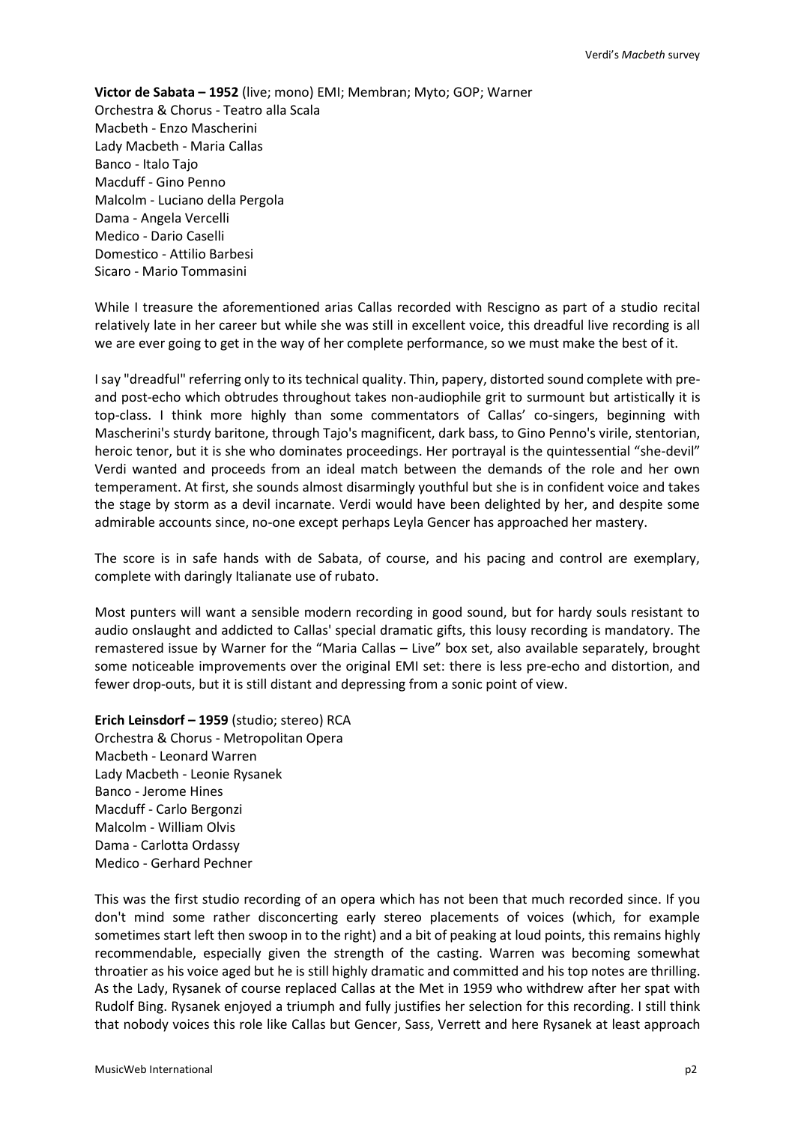**Victor de Sabata – 1952** (live; mono) EMI; Membran; Myto; GOP; Warner Orchestra & Chorus - Teatro alla Scala Macbeth - Enzo Mascherini Lady Macbeth - Maria Callas Banco - Italo Tajo Macduff - Gino Penno Malcolm - Luciano della Pergola Dama - Angela Vercelli Medico - Dario Caselli Domestico - Attilio Barbesi Sicaro - Mario Tommasini

While I treasure the aforementioned arias Callas recorded with Rescigno as part of a studio recital relatively late in her career but while she was still in excellent voice, this dreadful live recording is all we are ever going to get in the way of her complete performance, so we must make the best of it.

I say "dreadful" referring only to its technical quality. Thin, papery, distorted sound complete with preand post-echo which obtrudes throughout takes non-audiophile grit to surmount but artistically it is top-class. I think more highly than some commentators of Callas' co-singers, beginning with Mascherini's sturdy baritone, through Tajo's magnificent, dark bass, to Gino Penno's virile, stentorian, heroic tenor, but it is she who dominates proceedings. Her portrayal is the quintessential "she-devil" Verdi wanted and proceeds from an ideal match between the demands of the role and her own temperament. At first, she sounds almost disarmingly youthful but she is in confident voice and takes the stage by storm as a devil incarnate. Verdi would have been delighted by her, and despite some admirable accounts since, no-one except perhaps Leyla Gencer has approached her mastery.

The score is in safe hands with de Sabata, of course, and his pacing and control are exemplary, complete with daringly Italianate use of rubato.

Most punters will want a sensible modern recording in good sound, but for hardy souls resistant to audio onslaught and addicted to Callas' special dramatic gifts, this lousy recording is mandatory. The remastered issue by Warner for the "Maria Callas – Live" box set, also available separately, brought some noticeable improvements over the original EMI set: there is less pre-echo and distortion, and fewer drop-outs, but it is still distant and depressing from a sonic point of view.

**Erich Leinsdorf – 1959** (studio; stereo) RCA

Orchestra & Chorus - Metropolitan Opera Macbeth - Leonard Warren Lady Macbeth - Leonie Rysanek Banco - Jerome Hines Macduff - Carlo Bergonzi Malcolm - William Olvis Dama - Carlotta Ordassy Medico - Gerhard Pechner

This was the first studio recording of an opera which has not been that much recorded since. If you don't mind some rather disconcerting early stereo placements of voices (which, for example sometimes start left then swoop in to the right) and a bit of peaking at loud points, this remains highly recommendable, especially given the strength of the casting. Warren was becoming somewhat throatier as his voice aged but he is still highly dramatic and committed and his top notes are thrilling. As the Lady, Rysanek of course replaced Callas at the Met in 1959 who withdrew after her spat with Rudolf Bing. Rysanek enjoyed a triumph and fully justifies her selection for this recording. I still think that nobody voices this role like Callas but Gencer, Sass, Verrett and here Rysanek at least approach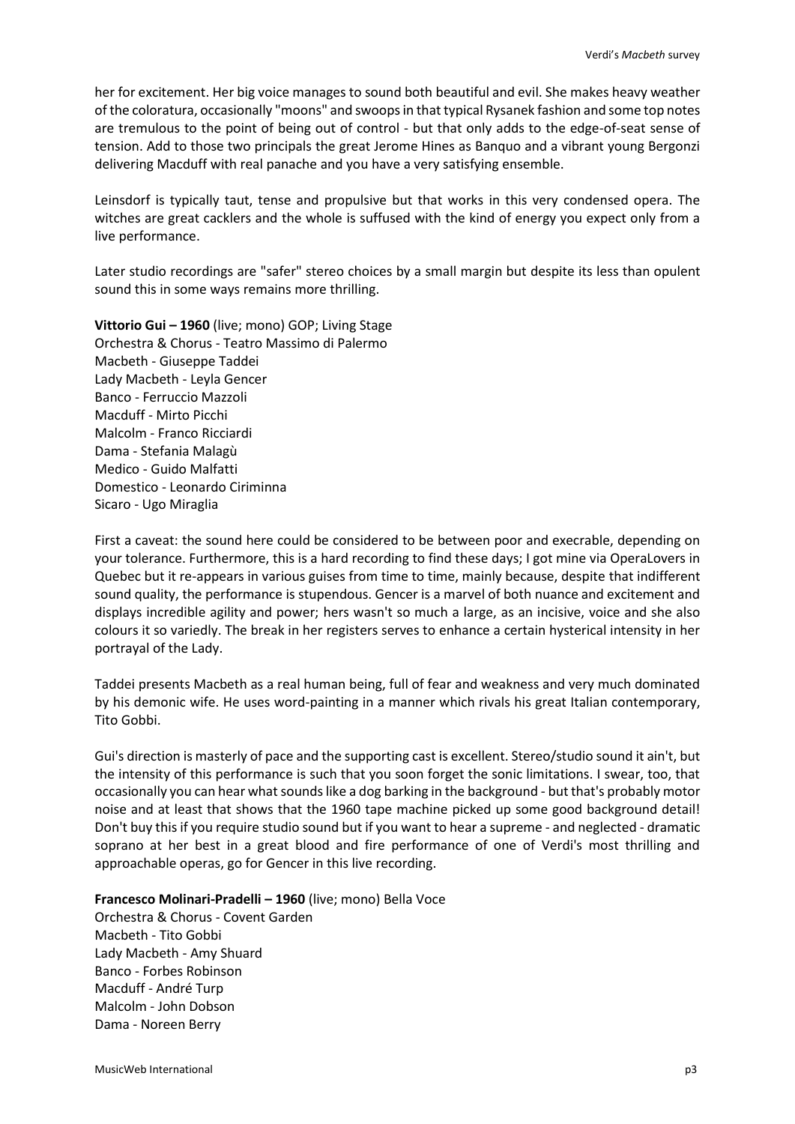her for excitement. Her big voice manages to sound both beautiful and evil. She makes heavy weather of the coloratura, occasionally "moons" and swoops in that typical Rysanek fashion and some top notes are tremulous to the point of being out of control - but that only adds to the edge-of-seat sense of tension. Add to those two principals the great Jerome Hines as Banquo and a vibrant young Bergonzi delivering Macduff with real panache and you have a very satisfying ensemble.

Leinsdorf is typically taut, tense and propulsive but that works in this very condensed opera. The witches are great cacklers and the whole is suffused with the kind of energy you expect only from a live performance.

Later studio recordings are "safer" stereo choices by a small margin but despite its less than opulent sound this in some ways remains more thrilling.

**Vittorio Gui – 1960** (live; mono) GOP; Living Stage Orchestra & Chorus - Teatro Massimo di Palermo Macbeth - Giuseppe Taddei Lady Macbeth - Leyla Gencer Banco - Ferruccio Mazzoli Macduff - Mirto Picchi Malcolm - Franco Ricciardi Dama - Stefania Malagù Medico - Guido Malfatti Domestico - Leonardo Ciriminna Sicaro - Ugo Miraglia

First a caveat: the sound here could be considered to be between poor and execrable, depending on your tolerance. Furthermore, this is a hard recording to find these days; I got mine via OperaLovers in Quebec but it re-appears in various guises from time to time, mainly because, despite that indifferent sound quality, the performance is stupendous. Gencer is a marvel of both nuance and excitement and displays incredible agility and power; hers wasn't so much a large, as an incisive, voice and she also colours it so variedly. The break in her registers serves to enhance a certain hysterical intensity in her portrayal of the Lady.

Taddei presents Macbeth as a real human being, full of fear and weakness and very much dominated by his demonic wife. He uses word-painting in a manner which rivals his great Italian contemporary, Tito Gobbi.

Gui's direction is masterly of pace and the supporting cast is excellent. Stereo/studio sound it ain't, but the intensity of this performance is such that you soon forget the sonic limitations. I swear, too, that occasionally you can hear what sounds like a dog barking in the background - but that's probably motor noise and at least that shows that the 1960 tape machine picked up some good background detail! Don't buy this if you require studio sound but if you want to hear a supreme - and neglected - dramatic soprano at her best in a great blood and fire performance of one of Verdi's most thrilling and approachable operas, go for Gencer in this live recording.

**Francesco Molinari-Pradelli – 1960** (live; mono) Bella Voce

Orchestra & Chorus - Covent Garden Macbeth - Tito Gobbi Lady Macbeth - Amy Shuard Banco - Forbes Robinson Macduff - André Turp Malcolm - John Dobson Dama - Noreen Berry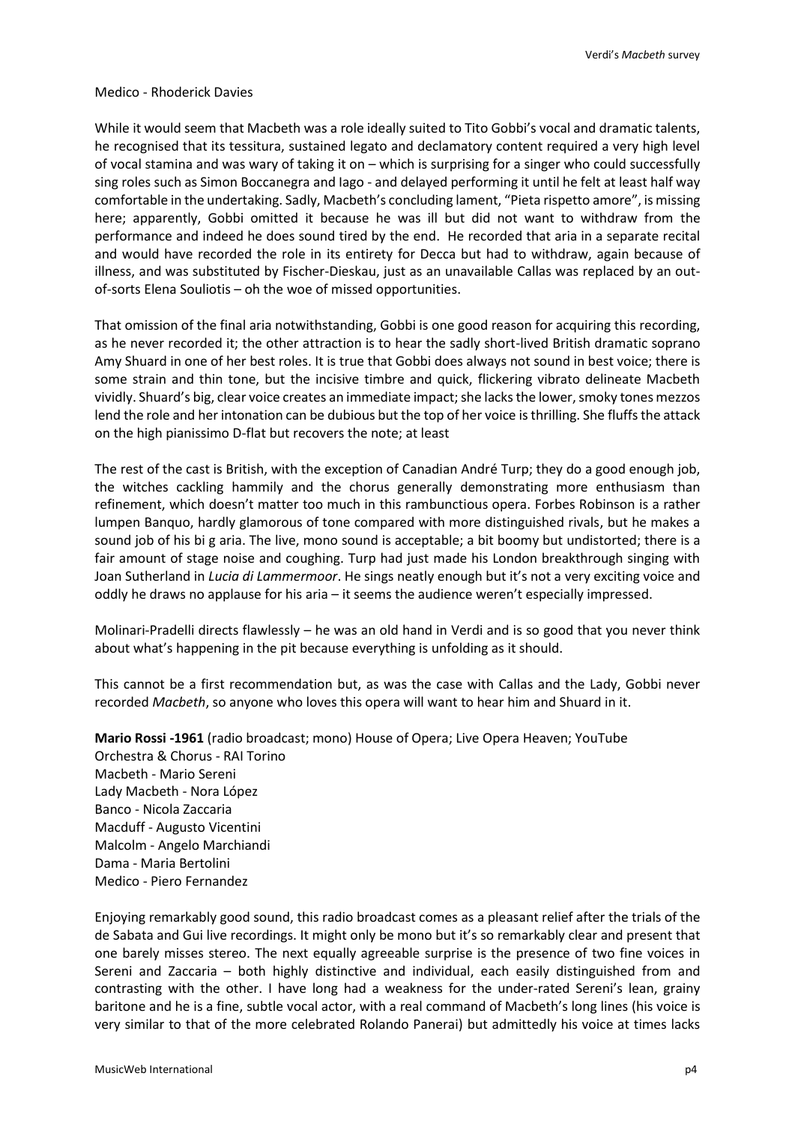#### Medico - Rhoderick Davies

While it would seem that Macbeth was a role ideally suited to Tito Gobbi's vocal and dramatic talents, he recognised that its tessitura, sustained legato and declamatory content required a very high level of vocal stamina and was wary of taking it on – which is surprising for a singer who could successfully sing roles such as Simon Boccanegra and Iago - and delayed performing it until he felt at least half way comfortable in the undertaking. Sadly, Macbeth's concluding lament, "Pieta rispetto amore", is missing here; apparently, Gobbi omitted it because he was ill but did not want to withdraw from the performance and indeed he does sound tired by the end. He recorded that aria in a separate recital and would have recorded the role in its entirety for Decca but had to withdraw, again because of illness, and was substituted by Fischer-Dieskau, just as an unavailable Callas was replaced by an outof-sorts Elena Souliotis – oh the woe of missed opportunities.

That omission of the final aria notwithstanding, Gobbi is one good reason for acquiring this recording, as he never recorded it; the other attraction is to hear the sadly short-lived British dramatic soprano Amy Shuard in one of her best roles. It is true that Gobbi does always not sound in best voice; there is some strain and thin tone, but the incisive timbre and quick, flickering vibrato delineate Macbeth vividly. Shuard's big, clear voice creates an immediate impact; she lacks the lower, smoky tones mezzos lend the role and her intonation can be dubious but the top of her voice is thrilling. She fluffs the attack on the high pianissimo D-flat but recovers the note; at least

The rest of the cast is British, with the exception of Canadian André Turp; they do a good enough job, the witches cackling hammily and the chorus generally demonstrating more enthusiasm than refinement, which doesn't matter too much in this rambunctious opera. Forbes Robinson is a rather lumpen Banquo, hardly glamorous of tone compared with more distinguished rivals, but he makes a sound job of his bi g aria. The live, mono sound is acceptable; a bit boomy but undistorted; there is a fair amount of stage noise and coughing. Turp had just made his London breakthrough singing with Joan Sutherland in *Lucia di Lammermoor*. He sings neatly enough but it's not a very exciting voice and oddly he draws no applause for his aria – it seems the audience weren't especially impressed.

Molinari-Pradelli directs flawlessly – he was an old hand in Verdi and is so good that you never think about what's happening in the pit because everything is unfolding as it should.

This cannot be a first recommendation but, as was the case with Callas and the Lady, Gobbi never recorded *Macbeth*, so anyone who loves this opera will want to hear him and Shuard in it.

**Mario Rossi -1961** (radio broadcast; mono) House of Opera; Live Opera Heaven; YouTube Orchestra & Chorus - RAI Torino Macbeth - Mario Sereni Lady Macbeth - Nora López Banco - Nicola Zaccaria Macduff - Augusto Vicentini Malcolm - Angelo Marchiandi Dama - Maria Bertolini Medico - Piero Fernandez

Enjoying remarkably good sound, this radio broadcast comes as a pleasant relief after the trials of the de Sabata and Gui live recordings. It might only be mono but it's so remarkably clear and present that one barely misses stereo. The next equally agreeable surprise is the presence of two fine voices in Sereni and Zaccaria – both highly distinctive and individual, each easily distinguished from and contrasting with the other. I have long had a weakness for the under-rated Sereni's lean, grainy baritone and he is a fine, subtle vocal actor, with a real command of Macbeth's long lines (his voice is very similar to that of the more celebrated Rolando Panerai) but admittedly his voice at times lacks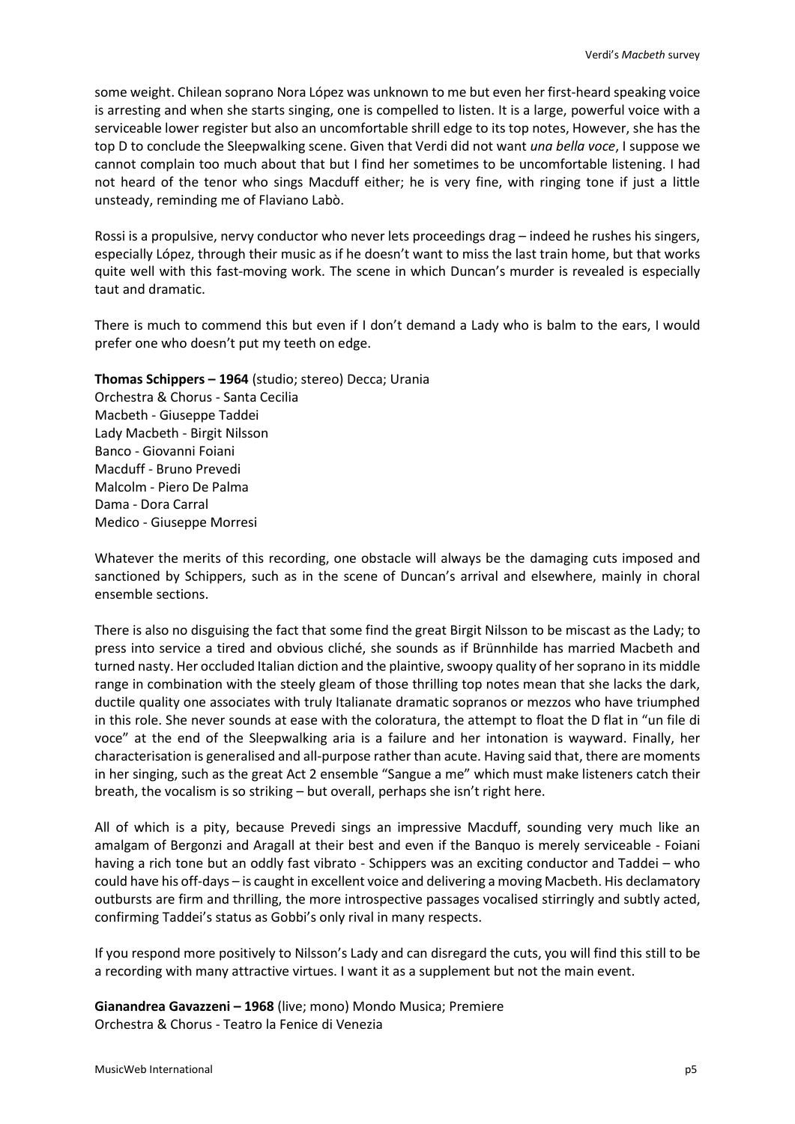some weight. Chilean soprano Nora López was unknown to me but even her first-heard speaking voice is arresting and when she starts singing, one is compelled to listen. It is a large, powerful voice with a serviceable lower register but also an uncomfortable shrill edge to its top notes, However, she has the top D to conclude the Sleepwalking scene. Given that Verdi did not want *una bella voce*, I suppose we cannot complain too much about that but I find her sometimes to be uncomfortable listening. I had not heard of the tenor who sings Macduff either; he is very fine, with ringing tone if just a little unsteady, reminding me of Flaviano Labò.

Rossi is a propulsive, nervy conductor who never lets proceedings drag – indeed he rushes his singers, especially López, through their music as if he doesn't want to miss the last train home, but that works quite well with this fast-moving work. The scene in which Duncan's murder is revealed is especially taut and dramatic.

There is much to commend this but even if I don't demand a Lady who is balm to the ears, I would prefer one who doesn't put my teeth on edge.

**Thomas Schippers – 1964** (studio; stereo) Decca; Urania

Orchestra & Chorus - Santa Cecilia Macbeth - Giuseppe Taddei Lady Macbeth - Birgit Nilsson Banco - Giovanni Foiani Macduff - Bruno Prevedi Malcolm - Piero De Palma Dama - Dora Carral Medico - Giuseppe Morresi

Whatever the merits of this recording, one obstacle will always be the damaging cuts imposed and sanctioned by Schippers, such as in the scene of Duncan's arrival and elsewhere, mainly in choral ensemble sections.

There is also no disguising the fact that some find the great Birgit Nilsson to be miscast as the Lady; to press into service a tired and obvious cliché, she sounds as if Brünnhilde has married Macbeth and turned nasty. Her occluded Italian diction and the plaintive, swoopy quality of her soprano in its middle range in combination with the steely gleam of those thrilling top notes mean that she lacks the dark, ductile quality one associates with truly Italianate dramatic sopranos or mezzos who have triumphed in this role. She never sounds at ease with the coloratura, the attempt to float the D flat in "un file di voce" at the end of the Sleepwalking aria is a failure and her intonation is wayward. Finally, her characterisation is generalised and all-purpose rather than acute. Having said that, there are moments in her singing, such as the great Act 2 ensemble "Sangue a me" which must make listeners catch their breath, the vocalism is so striking – but overall, perhaps she isn't right here.

All of which is a pity, because Prevedi sings an impressive Macduff, sounding very much like an amalgam of Bergonzi and Aragall at their best and even if the Banquo is merely serviceable - Foiani having a rich tone but an oddly fast vibrato - Schippers was an exciting conductor and Taddei – who could have his off-days – is caught in excellent voice and delivering a moving Macbeth. His declamatory outbursts are firm and thrilling, the more introspective passages vocalised stirringly and subtly acted, confirming Taddei's status as Gobbi's only rival in many respects.

If you respond more positively to Nilsson's Lady and can disregard the cuts, you will find this still to be a recording with many attractive virtues. I want it as a supplement but not the main event.

**Gianandrea Gavazzeni – 1968** (live; mono) Mondo Musica; Premiere Orchestra & Chorus - Teatro la Fenice di Venezia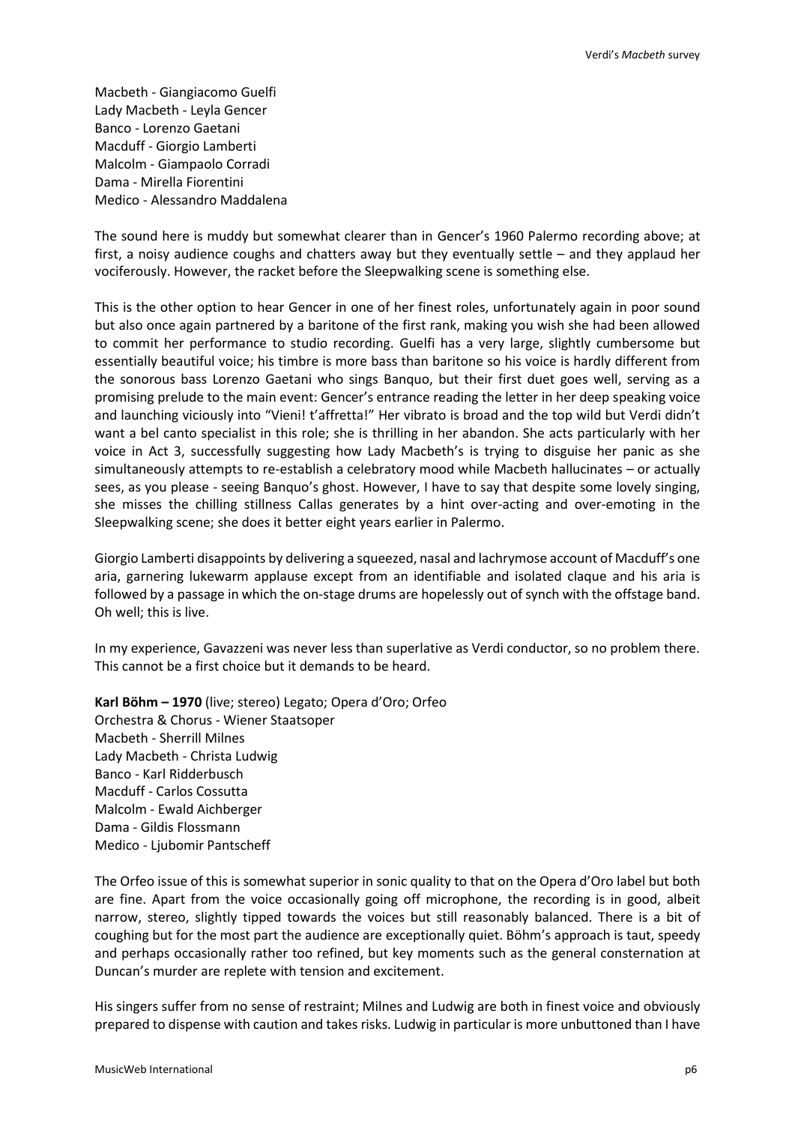Macbeth - Giangiacomo Guelfi Lady Macbeth - Leyla Gencer Banco - Lorenzo Gaetani Macduff - Giorgio Lamberti Malcolm - Giampaolo Corradi Dama - Mirella Fiorentini Medico - Alessandro Maddalena

The sound here is muddy but somewhat clearer than in Gencer's 1960 Palermo recording above; at first, a noisy audience coughs and chatters away but they eventually settle – and they applaud her vociferously. However, the racket before the Sleepwalking scene is something else.

This is the other option to hear Gencer in one of her finest roles, unfortunately again in poor sound but also once again partnered by a baritone of the first rank, making you wish she had been allowed to commit her performance to studio recording. Guelfi has a very large, slightly cumbersome but essentially beautiful voice; his timbre is more bass than baritone so his voice is hardly different from the sonorous bass Lorenzo Gaetani who sings Banquo, but their first duet goes well, serving as a promising prelude to the main event: Gencer's entrance reading the letter in her deep speaking voice and launching viciously into "Vieni! t'affretta!" Her vibrato is broad and the top wild but Verdi didn't want a bel canto specialist in this role; she is thrilling in her abandon. She acts particularly with her voice in Act 3, successfully suggesting how Lady Macbeth's is trying to disguise her panic as she simultaneously attempts to re-establish a celebratory mood while Macbeth hallucinates – or actually sees, as you please - seeing Banquo's ghost. However, I have to say that despite some lovely singing, she misses the chilling stillness Callas generates by a hint over-acting and over-emoting in the Sleepwalking scene; she does it better eight years earlier in Palermo.

Giorgio Lamberti disappoints by delivering a squeezed, nasal and lachrymose account of Macduff's one aria, garnering lukewarm applause except from an identifiable and isolated claque and his aria is followed by a passage in which the on-stage drums are hopelessly out of synch with the offstage band. Oh well; this is live.

In my experience, Gavazzeni was never less than superlative as Verdi conductor, so no problem there. This cannot be a first choice but it demands to be heard.

**Karl Böhm – 1970** (live; stereo) Legato; Opera d'Oro; Orfeo Orchestra & Chorus - Wiener Staatsoper Macbeth - Sherrill Milnes Lady Macbeth - Christa Ludwig Banco - Karl Ridderbusch Macduff - Carlos Cossutta Malcolm - Ewald Aichberger Dama - Gildis Flossmann Medico - Ljubomir Pantscheff

The Orfeo issue of this is somewhat superior in sonic quality to that on the Opera d'Oro label but both are fine. Apart from the voice occasionally going off microphone, the recording is in good, albeit narrow, stereo, slightly tipped towards the voices but still reasonably balanced. There is a bit of coughing but for the most part the audience are exceptionally quiet. Böhm's approach is taut, speedy and perhaps occasionally rather too refined, but key moments such as the general consternation at Duncan's murder are replete with tension and excitement.

His singers suffer from no sense of restraint; Milnes and Ludwig are both in finest voice and obviously prepared to dispense with caution and takes risks. Ludwig in particular is more unbuttoned than I have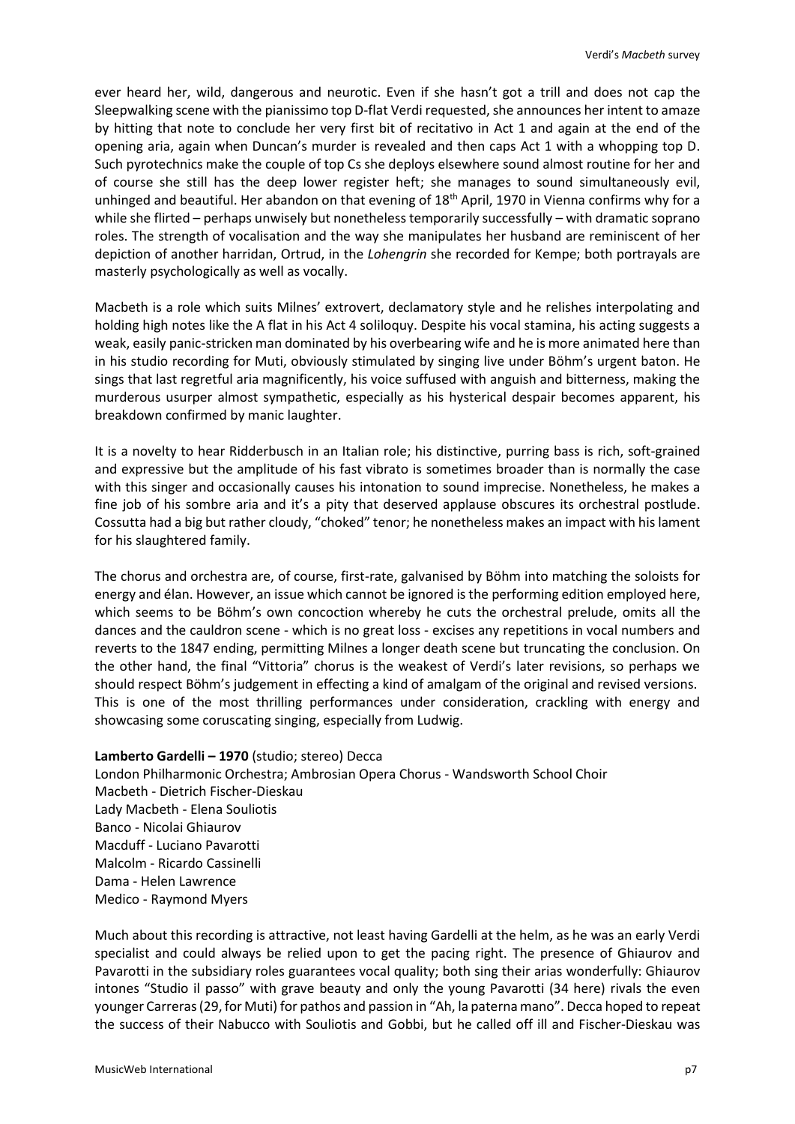ever heard her, wild, dangerous and neurotic. Even if she hasn't got a trill and does not cap the Sleepwalking scene with the pianissimo top D-flat Verdi requested, she announces her intent to amaze by hitting that note to conclude her very first bit of recitativo in Act 1 and again at the end of the opening aria, again when Duncan's murder is revealed and then caps Act 1 with a whopping top D. Such pyrotechnics make the couple of top Cs she deploys elsewhere sound almost routine for her and of course she still has the deep lower register heft; she manages to sound simultaneously evil, unhinged and beautiful. Her abandon on that evening of 18<sup>th</sup> April, 1970 in Vienna confirms why for a while she flirted – perhaps unwisely but nonetheless temporarily successfully – with dramatic soprano roles. The strength of vocalisation and the way she manipulates her husband are reminiscent of her depiction of another harridan, Ortrud, in the *Lohengrin* she recorded for Kempe; both portrayals are masterly psychologically as well as vocally.

Macbeth is a role which suits Milnes' extrovert, declamatory style and he relishes interpolating and holding high notes like the A flat in his Act 4 soliloquy. Despite his vocal stamina, his acting suggests a weak, easily panic-stricken man dominated by his overbearing wife and he is more animated here than in his studio recording for Muti, obviously stimulated by singing live under Böhm's urgent baton. He sings that last regretful aria magnificently, his voice suffused with anguish and bitterness, making the murderous usurper almost sympathetic, especially as his hysterical despair becomes apparent, his breakdown confirmed by manic laughter.

It is a novelty to hear Ridderbusch in an Italian role; his distinctive, purring bass is rich, soft-grained and expressive but the amplitude of his fast vibrato is sometimes broader than is normally the case with this singer and occasionally causes his intonation to sound imprecise. Nonetheless, he makes a fine job of his sombre aria and it's a pity that deserved applause obscures its orchestral postlude. Cossutta had a big but rather cloudy, "choked" tenor; he nonetheless makes an impact with his lament for his slaughtered family.

The chorus and orchestra are, of course, first-rate, galvanised by Böhm into matching the soloists for energy and élan. However, an issue which cannot be ignored is the performing edition employed here, which seems to be Böhm's own concoction whereby he cuts the orchestral prelude, omits all the dances and the cauldron scene - which is no great loss - excises any repetitions in vocal numbers and reverts to the 1847 ending, permitting Milnes a longer death scene but truncating the conclusion. On the other hand, the final "Vittoria" chorus is the weakest of Verdi's later revisions, so perhaps we should respect Böhm's judgement in effecting a kind of amalgam of the original and revised versions. This is one of the most thrilling performances under consideration, crackling with energy and showcasing some coruscating singing, especially from Ludwig.

#### **Lamberto Gardelli – 1970** (studio; stereo) Decca

London Philharmonic Orchestra; Ambrosian Opera Chorus - Wandsworth School Choir Macbeth - Dietrich Fischer-Dieskau Lady Macbeth - Elena Souliotis Banco - Nicolai Ghiaurov Macduff - Luciano Pavarotti Malcolm - Ricardo Cassinelli Dama - Helen Lawrence Medico - Raymond Myers

Much about this recording is attractive, not least having Gardelli at the helm, as he was an early Verdi specialist and could always be relied upon to get the pacing right. The presence of Ghiaurov and Pavarotti in the subsidiary roles guarantees vocal quality; both sing their arias wonderfully: Ghiaurov intones "Studio il passo" with grave beauty and only the young Pavarotti (34 here) rivals the even younger Carreras (29, for Muti) for pathos and passion in "Ah, la paterna mano". Decca hoped to repeat the success of their Nabucco with Souliotis and Gobbi, but he called off ill and Fischer-Dieskau was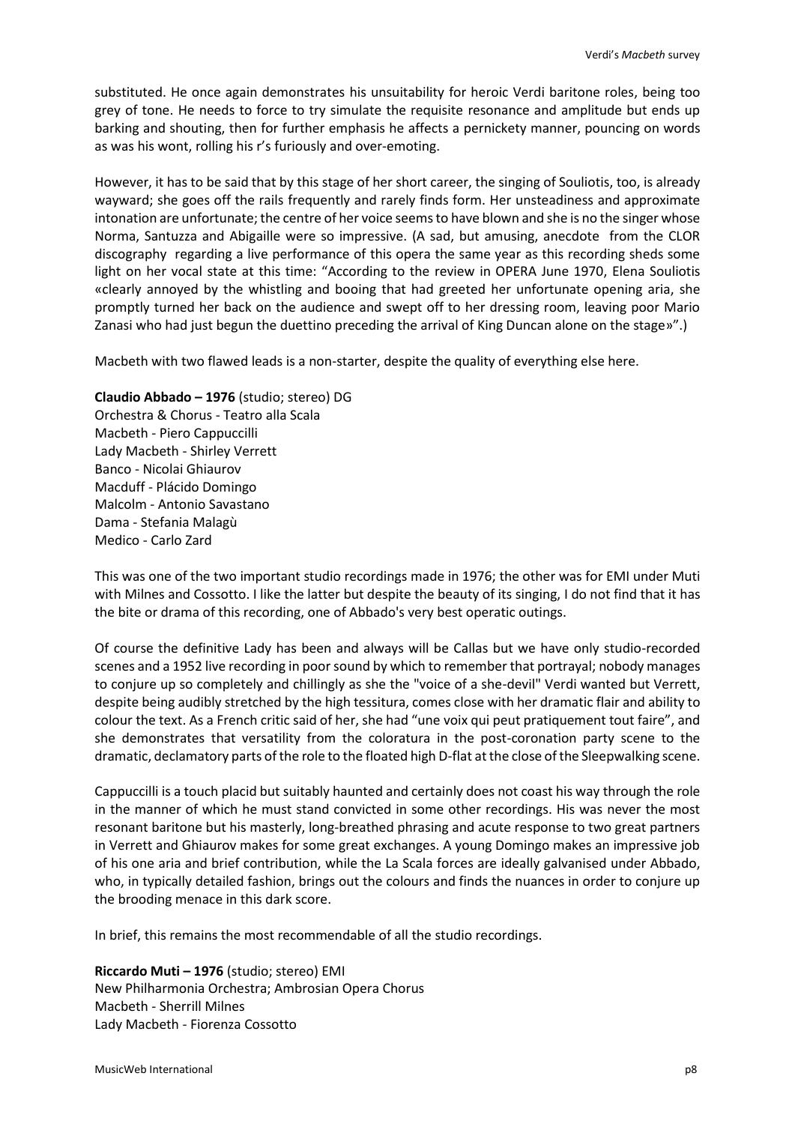substituted. He once again demonstrates his unsuitability for heroic Verdi baritone roles, being too grey of tone. He needs to force to try simulate the requisite resonance and amplitude but ends up barking and shouting, then for further emphasis he affects a pernickety manner, pouncing on words as was his wont, rolling his r's furiously and over-emoting.

However, it has to be said that by this stage of her short career, the singing of Souliotis, too, is already wayward; she goes off the rails frequently and rarely finds form. Her unsteadiness and approximate intonation are unfortunate; the centre of her voice seems to have blown and she is no the singer whose Norma, Santuzza and Abigaille were so impressive. (A sad, but amusing, anecdote from the CLOR discography regarding a live performance of this opera the same year as this recording sheds some light on her vocal state at this time: "According to the review in OPERA June 1970, Elena Souliotis «clearly annoyed by the whistling and booing that had greeted her unfortunate opening aria, she promptly turned her back on the audience and swept off to her dressing room, leaving poor Mario Zanasi who had just begun the duettino preceding the arrival of King Duncan alone on the stage»".)

Macbeth with two flawed leads is a non-starter, despite the quality of everything else here.

# **Claudio Abbado – 1976** (studio; stereo) DG

Orchestra & Chorus - Teatro alla Scala Macbeth - Piero Cappuccilli Lady Macbeth - Shirley Verrett Banco - Nicolai Ghiaurov Macduff - Plácido Domingo Malcolm - Antonio Savastano Dama - Stefania Malagù Medico - Carlo Zard

This was one of the two important studio recordings made in 1976; the other was for EMI under Muti with Milnes and Cossotto. I like the latter but despite the beauty of its singing, I do not find that it has the bite or drama of this recording, one of Abbado's very best operatic outings.

Of course the definitive Lady has been and always will be Callas but we have only studio-recorded scenes and a 1952 live recording in poor sound by which to remember that portrayal; nobody manages to conjure up so completely and chillingly as she the "voice of a she-devil" Verdi wanted but Verrett, despite being audibly stretched by the high tessitura, comes close with her dramatic flair and ability to colour the text. As a French critic said of her, she had "une voix qui peut pratiquement tout faire", and she demonstrates that versatility from the coloratura in the post-coronation party scene to the dramatic, declamatory parts of the role to the floated high D-flat atthe close of the Sleepwalking scene.

Cappuccilli is a touch placid but suitably haunted and certainly does not coast his way through the role in the manner of which he must stand convicted in some other recordings. His was never the most resonant baritone but his masterly, long-breathed phrasing and acute response to two great partners in Verrett and Ghiaurov makes for some great exchanges. A young Domingo makes an impressive job of his one aria and brief contribution, while the La Scala forces are ideally galvanised under Abbado, who, in typically detailed fashion, brings out the colours and finds the nuances in order to conjure up the brooding menace in this dark score.

In brief, this remains the most recommendable of all the studio recordings.

**Riccardo Muti – 1976** (studio; stereo) EMI New Philharmonia Orchestra; Ambrosian Opera Chorus Macbeth - Sherrill Milnes Lady Macbeth - Fiorenza Cossotto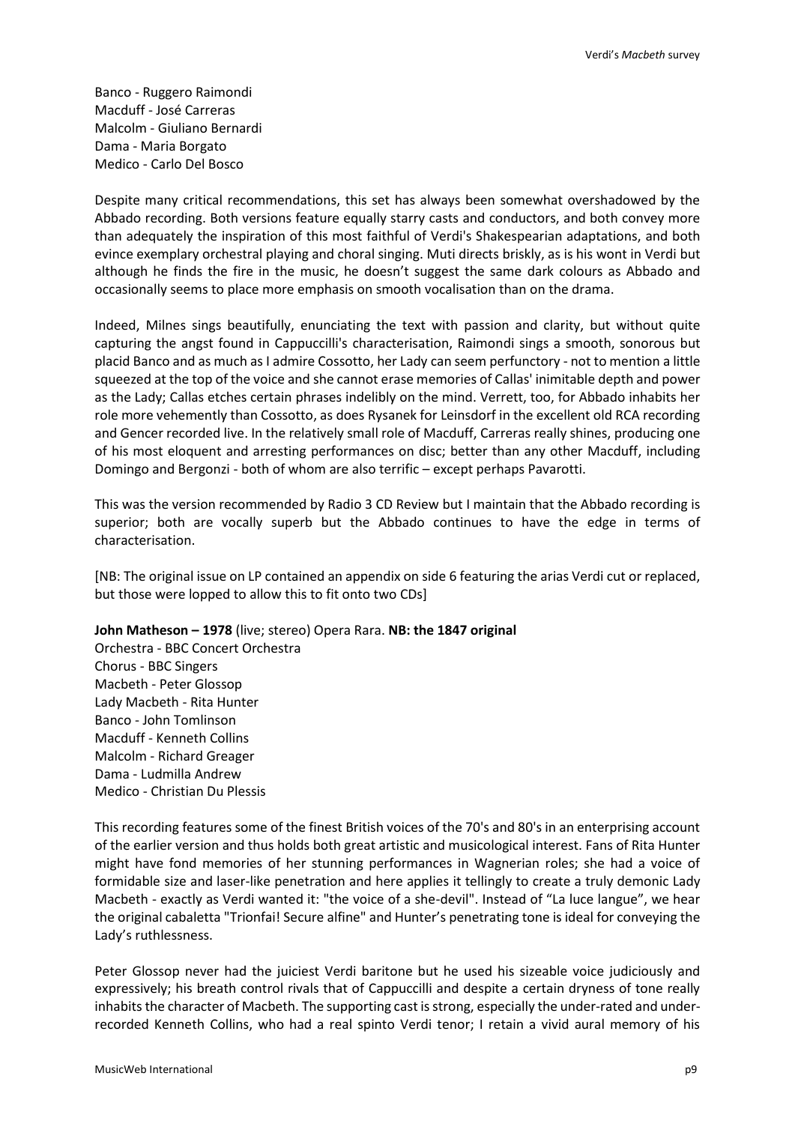Banco - Ruggero Raimondi Macduff - José Carreras Malcolm - Giuliano Bernardi Dama - Maria Borgato Medico - Carlo Del Bosco

Despite many critical recommendations, this set has always been somewhat overshadowed by the Abbado recording. Both versions feature equally starry casts and conductors, and both convey more than adequately the inspiration of this most faithful of Verdi's Shakespearian adaptations, and both evince exemplary orchestral playing and choral singing. Muti directs briskly, as is his wont in Verdi but although he finds the fire in the music, he doesn't suggest the same dark colours as Abbado and occasionally seems to place more emphasis on smooth vocalisation than on the drama.

Indeed, Milnes sings beautifully, enunciating the text with passion and clarity, but without quite capturing the angst found in Cappuccilli's characterisation, Raimondi sings a smooth, sonorous but placid Banco and as much as I admire Cossotto, her Lady can seem perfunctory - not to mention a little squeezed at the top of the voice and she cannot erase memories of Callas' inimitable depth and power as the Lady; Callas etches certain phrases indelibly on the mind. Verrett, too, for Abbado inhabits her role more vehemently than Cossotto, as does Rysanek for Leinsdorf in the excellent old RCA recording and Gencer recorded live. In the relatively small role of Macduff, Carreras really shines, producing one of his most eloquent and arresting performances on disc; better than any other Macduff, including Domingo and Bergonzi - both of whom are also terrific – except perhaps Pavarotti.

This was the version recommended by Radio 3 CD Review but I maintain that the Abbado recording is superior; both are vocally superb but the Abbado continues to have the edge in terms of characterisation.

[NB: The original issue on LP contained an appendix on side 6 featuring the arias Verdi cut or replaced, but those were lopped to allow this to fit onto two CDs]

**John Matheson – 1978** (live; stereo) Opera Rara. **NB: the 1847 original**

Orchestra - BBC Concert Orchestra Chorus - BBC Singers Macbeth - Peter Glossop Lady Macbeth - Rita Hunter Banco - John Tomlinson Macduff - Kenneth Collins Malcolm - Richard Greager Dama - Ludmilla Andrew Medico - Christian Du Plessis

This recording features some of the finest British voices of the 70's and 80's in an enterprising account of the earlier version and thus holds both great artistic and musicological interest. Fans of Rita Hunter might have fond memories of her stunning performances in Wagnerian roles; she had a voice of formidable size and laser-like penetration and here applies it tellingly to create a truly demonic Lady Macbeth - exactly as Verdi wanted it: "the voice of a she-devil". Instead of "La luce langue", we hear the original cabaletta "Trionfai! Secure alfine" and Hunter's penetrating tone is ideal for conveying the Lady's ruthlessness.

Peter Glossop never had the juiciest Verdi baritone but he used his sizeable voice judiciously and expressively; his breath control rivals that of Cappuccilli and despite a certain dryness of tone really inhabits the character of Macbeth. The supporting cast is strong, especially the under-rated and underrecorded Kenneth Collins, who had a real spinto Verdi tenor; I retain a vivid aural memory of his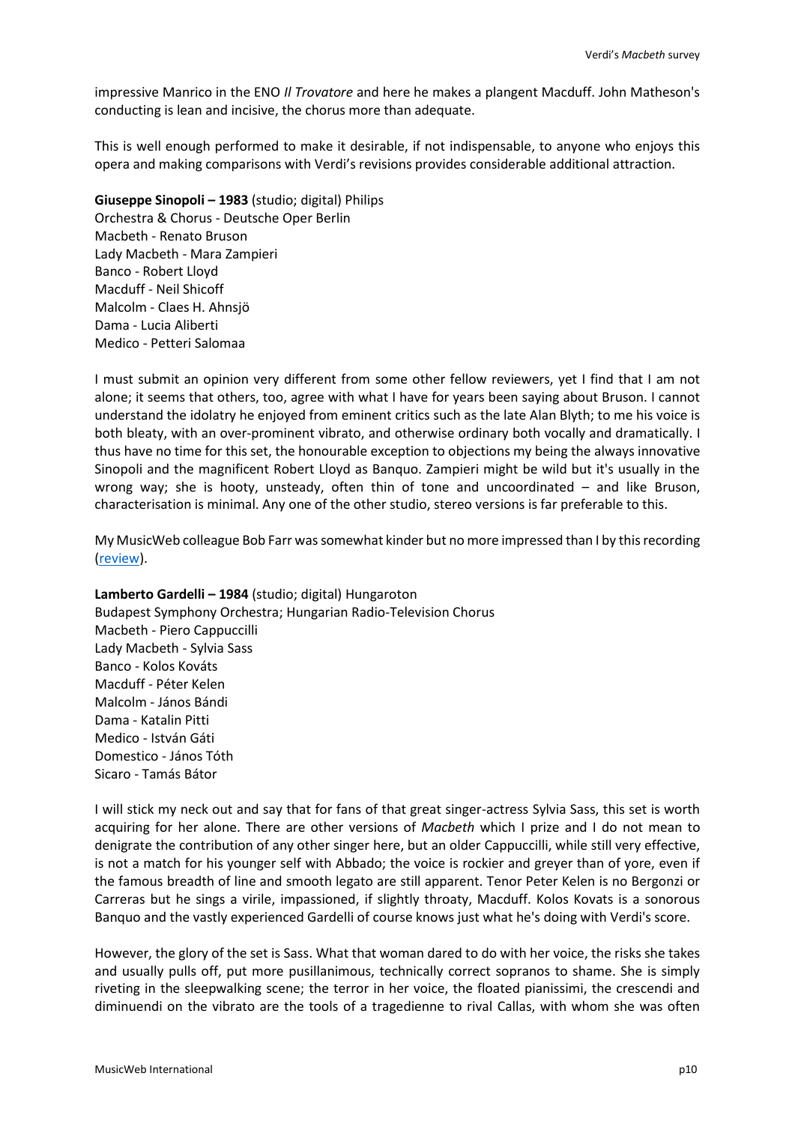impressive Manrico in the ENO *Il Trovatore* and here he makes a plangent Macduff. John Matheson's conducting is lean and incisive, the chorus more than adequate.

This is well enough performed to make it desirable, if not indispensable, to anyone who enjoys this opera and making comparisons with Verdi's revisions provides considerable additional attraction.

### **Giuseppe Sinopoli – 1983** (studio; digital) Philips

Orchestra & Chorus - Deutsche Oper Berlin Macbeth - Renato Bruson Lady Macbeth - Mara Zampieri Banco - Robert Lloyd Macduff - Neil Shicoff Malcolm - Claes H. Ahnsjö Dama - Lucia Aliberti Medico - Petteri Salomaa

I must submit an opinion very different from some other fellow reviewers, yet I find that I am not alone; it seems that others, too, agree with what I have for years been saying about Bruson. I cannot understand the idolatry he enjoyed from eminent critics such as the late Alan Blyth; to me his voice is both bleaty, with an over-prominent vibrato, and otherwise ordinary both vocally and dramatically. I thus have no time for this set, the honourable exception to objections my being the always innovative Sinopoli and the magnificent Robert Lloyd as Banquo. Zampieri might be wild but it's usually in the wrong way; she is hooty, unsteady, often thin of tone and uncoordinated – and like Bruson, characterisation is minimal. Any one of the other studio, stereo versions is far preferable to this.

My MusicWeb colleague Bob Farr was somewhat kinder but no more impressed than I by this recording [\(review\)](http://www.musicweb-international.com/classrev/2007/May07/Verdi_macbeth_4758393.htm).

# **Lamberto Gardelli – 1984** (studio; digital) Hungaroton

Budapest Symphony Orchestra; Hungarian Radio-Television Chorus Macbeth - Piero Cappuccilli Lady Macbeth - Sylvia Sass Banco - Kolos Kováts Macduff - Péter Kelen Malcolm - János Bándi Dama - Katalin Pitti Medico - István Gáti Domestico - János Tóth Sicaro - Tamás Bátor

I will stick my neck out and say that for fans of that great singer-actress Sylvia Sass, this set is worth acquiring for her alone. There are other versions of *Macbeth* which I prize and I do not mean to denigrate the contribution of any other singer here, but an older Cappuccilli, while still very effective, is not a match for his younger self with Abbado; the voice is rockier and greyer than of yore, even if the famous breadth of line and smooth legato are still apparent. Tenor Peter Kelen is no Bergonzi or Carreras but he sings a virile, impassioned, if slightly throaty, Macduff. Kolos Kovats is a sonorous Banquo and the vastly experienced Gardelli of course knows just what he's doing with Verdi's score.

However, the glory of the set is Sass. What that woman dared to do with her voice, the risks she takes and usually pulls off, put more pusillanimous, technically correct sopranos to shame. She is simply riveting in the sleepwalking scene; the terror in her voice, the floated pianissimi, the crescendi and diminuendi on the vibrato are the tools of a tragedienne to rival Callas, with whom she was often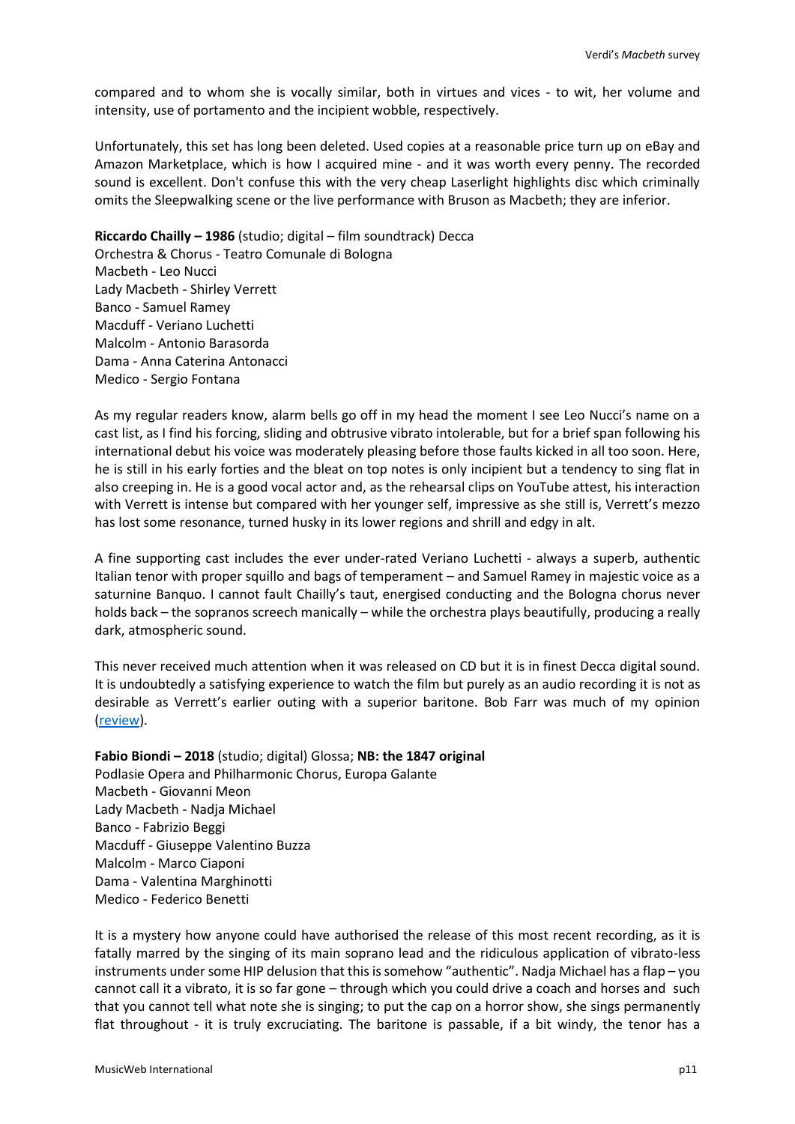compared and to whom she is vocally similar, both in virtues and vices - to wit, her volume and intensity, use of portamento and the incipient wobble, respectively.

Unfortunately, this set has long been deleted. Used copies at a reasonable price turn up on eBay and Amazon Marketplace, which is how I acquired mine - and it was worth every penny. The recorded sound is excellent. Don't confuse this with the very cheap Laserlight highlights disc which criminally omits the Sleepwalking scene or the live performance with Bruson as Macbeth; they are inferior.

**Riccardo Chailly – 1986** (studio; digital – film soundtrack) Decca Orchestra & Chorus - Teatro Comunale di Bologna Macbeth - Leo Nucci Lady Macbeth - Shirley Verrett Banco - Samuel Ramey Macduff - Veriano Luchetti Malcolm - Antonio Barasorda Dama - Anna Caterina Antonacci Medico - Sergio Fontana

As my regular readers know, alarm bells go off in my head the moment I see Leo Nucci's name on a cast list, as I find his forcing, sliding and obtrusive vibrato intolerable, but for a brief span following his international debut his voice was moderately pleasing before those faults kicked in all too soon. Here, he is still in his early forties and the bleat on top notes is only incipient but a tendency to sing flat in also creeping in. He is a good vocal actor and, as the rehearsal clips on YouTube attest, his interaction with Verrett is intense but compared with her younger self, impressive as she still is, Verrett's mezzo has lost some resonance, turned husky in its lower regions and shrill and edgy in alt.

A fine supporting cast includes the ever under-rated Veriano Luchetti - always a superb, authentic Italian tenor with proper squillo and bags of temperament – and Samuel Ramey in majestic voice as a saturnine Banquo. I cannot fault Chailly's taut, energised conducting and the Bologna chorus never holds back – the sopranos screech manically – while the orchestra plays beautifully, producing a really dark, atmospheric sound.

This never received much attention when it was released on CD but it is in finest Decca digital sound. It is undoubtedly a satisfying experience to watch the film but purely as an audio recording it is not as desirable as Verrett's earlier outing with a superior baritone. Bob Farr was much of my opinion [\(review\)](http://www.musicweb-international.com/classrev/2012/May12/Verdi_Macbeth_4703470.htm).

# **Fabio Biondi – 2018** (studio; digital) Glossa; **NB: the 1847 original** Podlasie Opera and Philharmonic Chorus, Europa Galante Macbeth - Giovanni Meon Lady Macbeth - Nadja Michael Banco - Fabrizio Beggi Macduff - Giuseppe Valentino Buzza Malcolm - Marco Ciaponi Dama - Valentina Marghinotti Medico - Federico Benetti

It is a mystery how anyone could have authorised the release of this most recent recording, as it is fatally marred by the singing of its main soprano lead and the ridiculous application of vibrato-less instruments under some HIP delusion that this is somehow "authentic". Nadja Michael has a flap – you cannot call it a vibrato, it is so far gone – through which you could drive a coach and horses and such that you cannot tell what note she is singing; to put the cap on a horror show, she sings permanently flat throughout - it is truly excruciating. The baritone is passable, if a bit windy, the tenor has a